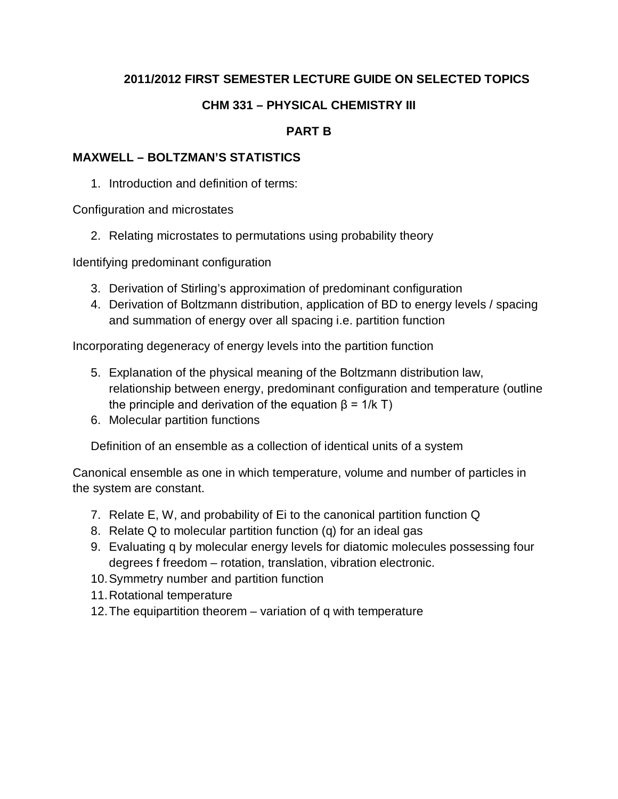## **2011/2012 FIRST SEMESTER LECTURE GUIDE ON SELECTED TOPICS**

## **CHM 331 – PHYSICAL CHEMISTRY III**

### **PART B**

#### **MAXWELL – BOLTZMAN'S STATISTICS**

1. Introduction and definition of terms:

Configuration and microstates

2. Relating microstates to permutations using probability theory

Identifying predominant configuration

- 3. Derivation of Stirling's approximation of predominant configuration
- 4. Derivation of Boltzmann distribution, application of BD to energy levels / spacing and summation of energy over all spacing i.e. partition function

Incorporating degeneracy of energy levels into the partition function

- 5. Explanation of the physical meaning of the Boltzmann distribution law, relationship between energy, predominant configuration and temperature (outline the principle and derivation of the equation  $β = 1/k T$ )
- 6. Molecular partition functions

Definition of an ensemble as a collection of identical units of a system

Canonical ensemble as one in which temperature, volume and number of particles in the system are constant.

- 7. Relate E, W, and probability of Ei to the canonical partition function Q
- 8. Relate Q to molecular partition function (q) for an ideal gas
- 9. Evaluating q by molecular energy levels for diatomic molecules possessing four degrees f freedom – rotation, translation, vibration electronic.
- 10.Symmetry number and partition function
- 11.Rotational temperature
- 12.The equipartition theorem variation of q with temperature